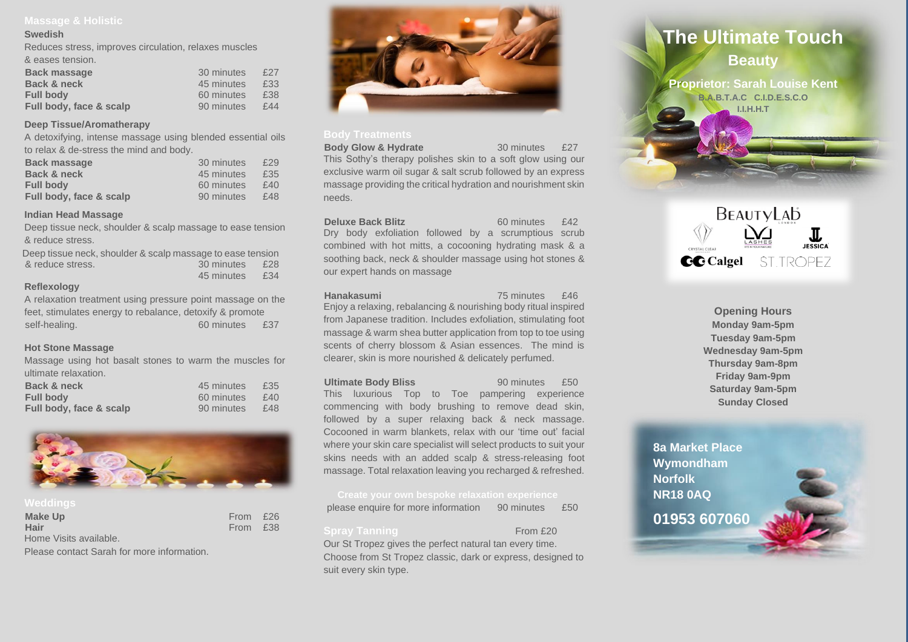### **Swedish**

Reduces stress, improves circulation, relaxes muscles

| & eases tension. |  |
|------------------|--|
|------------------|--|

| <b>Back massage</b>     | 30 minutes | £27 |
|-------------------------|------------|-----|
| Back & neck             | 45 minutes | £33 |
| <b>Full body</b>        | 60 minutes | £38 |
| Full body, face & scalp | 90 minutes | £44 |

## **Deep Tissue/Aromatherapy**

A detoxifying, intense massage using blended essential oils to relax & de-stress the mind and body.

| <b>Back massage</b>     | 30 minutes | £29 |
|-------------------------|------------|-----|
| Back & neck             | 45 minutes | £35 |
| <b>Full body</b>        | 60 minutes | f40 |
| Full body, face & scalp | 90 minutes | £48 |

### **Indian Head Massage**

Deep tissue neck, shoulder & scalp massage to ease tension & reduce stress.

| Deep tissue neck, shoulder & scalp massage to ease tension |            |     |
|------------------------------------------------------------|------------|-----|
| & reduce stress.                                           | 30 minutes | £28 |
|                                                            | 45 minutes | £34 |

## **Reflexology**

A relaxation treatment using pressure point massage on the feet, stimulates energy to rebalance, detoxify & promote self-healing. 60 minutes £37

## **Hot Stone Massage**

Massage using hot basalt stones to warm the muscles for ultimate relaxation.

| Back & neck             | 45 minutes | £35 |
|-------------------------|------------|-----|
| <b>Full body</b>        | 60 minutes | f40 |
| Full body, face & scalp | 90 minutes | £48 |



| <b>Make Up</b>         | From £26 |  |
|------------------------|----------|--|
| Hair                   | From £38 |  |
| Home Visits available. |          |  |

Please contact Sarah for more information.



## **Body Treatments**

**Body Glow & Hydrate** 30 minutes £27 This Sothy's therapy polishes skin to a soft glow using our exclusive warm oil sugar & salt scrub followed by an express massage providing the critical hydration and nourishment skin needs.

**Deluxe Back Blitz** 60 minutes £42 Dry body exfoliation followed by a scrumptious scrub combined with hot mitts, a cocooning hydrating mask & a soothing back, neck & shoulder massage using hot stones & our expert hands on massage

**Hanakasumi 75 minutes** £46

Enjoy a relaxing, rebalancing & nourishing body ritual inspired from Japanese tradition. Includes exfoliation, stimulating foot massage & warm shea butter application from top to toe using scents of cherry blossom & Asian essences. The mind is clearer, skin is more nourished & delicately perfumed.

### **Ultimate Body Bliss** 90 minutes £50

This luxurious Top to Toe pampering experience commencing with body brushing to remove dead skin, followed by a super relaxing back & neck massage. Cocooned in warm blankets, relax with our 'time out' facial where your skin care specialist will select products to suit your skins needs with an added scalp & stress-releasing foot massage. Total relaxation leaving you recharged & refreshed.

please enquire for more information 90 minutes £50

### **Spray Tanning From £20**

Our St Tropez gives the perfect natural tan every time. Choose from St Tropez classic, dark or express, designed to suit every skin type.



**B.A.B.T.A.C C.I.D.E.S.C.O I.I.H.H.T**



**Opening Hours Monday 9am-5pm Tuesday 9am-5pm Wednesday 9am-5pm Thursday 9am-8pm Friday 9am-9pm Saturday 9am-5pm Sunday Closed**

**8a Market Place Wymondham Norfolk NR18 0AQ [01953 607060](https://www.dreamstime.com/stock-photo-spa-still-life-water-lily-zen-stone-serenity-pool-image42041429)**